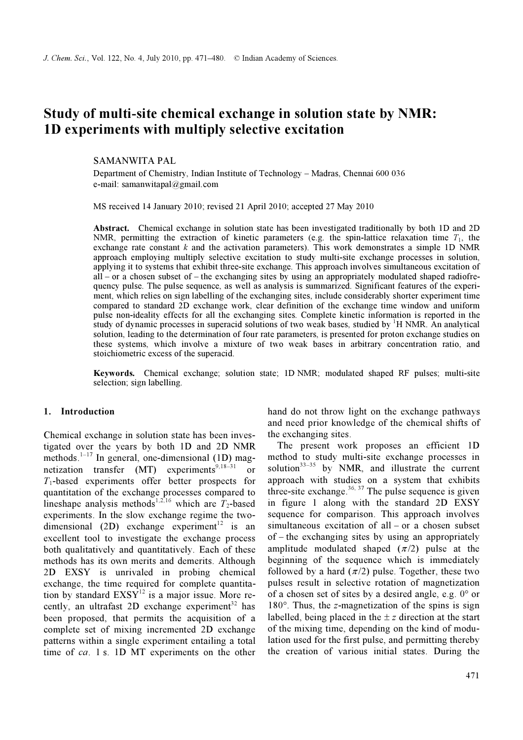# Study of multi-site chemical exchange in solution state by NMR: 1D experiments with multiply selective excitation

SAMANWITA PAL

Department of Chemistry, Indian Institute of Technology – Madras, Chennai 600 036 e-mail: samanwitapal@gmail.com

MS received 14 January 2010; revised 21 April 2010; accepted 27 May 2010

Abstract. Chemical exchange in solution state has been investigated traditionally by both 1D and 2D NMR, permitting the extraction of kinetic parameters (e.g. the spin-lattice relaxation time  $T_1$ , the exchange rate constant  $k$  and the activation parameters). This work demonstrates a simple 1D NMR approach employing multiply selective excitation to study multi-site exchange processes in solution, applying it to systems that exhibit three-site exchange. This approach involves simultaneous excitation of  $all - or a chosen subset of - the exchanging sites by using an appropriately modulated shaped radiofre$ quency pulse. The pulse sequence, as well as analysis is summarized. Significant features of the experiment, which relies on sign labelling of the exchanging sites, include considerably shorter experiment time compared to standard 2D exchange work, clear definition of the exchange time window and uniform pulse non-ideality effects for all the exchanging sites. Complete kinetic information is reported in the study of dynamic processes in superacid solutions of two weak bases, studied by  $H NMR$ . An analytical solution, leading to the determination of four rate parameters, is presented for proton exchange studies on these systems, which involve a mixture of two weak bases in arbitrary concentration ratio, and stoichiometric excess of the superacid.

Keywords. Chemical exchange; solution state; 1D NMR; modulated shaped RF pulses; multi-site selection; sign labelling.

## 1. Introduction

Chemical exchange in solution state has been investigated over the years by both 1D and 2D NMR methods.<sup>1-17</sup> In general, one-dimensional (1D) magnetization transfer  $(MT)$  experiments<sup>9,18–31</sup> or  $T_1$ -based experiments offer better prospects for quantitation of the exchange processes compared to lineshape analysis methods<sup>1,2,16</sup> which are  $T_2$ -based experiments. In the slow exchange regime the twodimensional (2D) exchange experiment<sup>12</sup> is an excellent tool to investigate the exchange process both qualitatively and quantitatively. Each of these methods has its own merits and demerits. Although 2D EXSY is unrivaled in probing chemical exchange, the time required for complete quantitation by standard  $EXSY<sup>12</sup>$  is a major issue. More recently, an ultrafast 2D exchange experiment<sup>32</sup> has been proposed, that permits the acquisition of a complete set of mixing incremented 2D exchange patterns within a single experiment entailing a total time of ca. 1 s. 1D MT experiments on the other

hand do not throw light on the exchange pathways and need prior knowledge of the chemical shifts of the exchanging sites.

 The present work proposes an efficient 1D method to study multi-site exchange processes in solution $33-35$  by NMR, and illustrate the current approach with studies on a system that exhibits three-site exchange. $36, 37$  The pulse sequence is given in figure 1 along with the standard 2D EXSY sequence for comparison. This approach involves simultaneous excitation of all – or a chosen subset of – the exchanging sites by using an appropriately amplitude modulated shaped  $(\pi/2)$  pulse at the beginning of the sequence which is immediately followed by a hard  $(\pi/2)$  pulse. Together, these two pulses result in selective rotation of magnetization of a chosen set of sites by a desired angle, e.g. 0° or  $180^\circ$ . Thus, the z-magnetization of the spins is sign labelled, being placed in the  $\pm z$  direction at the start of the mixing time, depending on the kind of modulation used for the first pulse, and permitting thereby the creation of various initial states. During the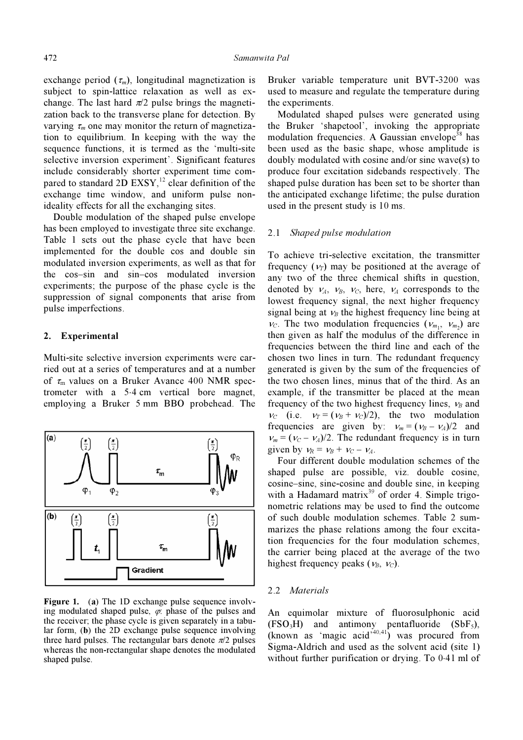exchange period  $(\tau_m)$ , longitudinal magnetization is subject to spin-lattice relaxation as well as exchange. The last hard  $\pi/2$  pulse brings the magnetization back to the transverse plane for detection. By varying  $\tau_m$  one may monitor the return of magnetization to equilibrium. In keeping with the way the sequence functions, it is termed as the 'multi-site selective inversion experiment'. Significant features include considerably shorter experiment time compared to standard 2D  $EXSY$ ,<sup>12</sup> clear definition of the exchange time window, and uniform pulse nonideality effects for all the exchanging sites.

 Double modulation of the shaped pulse envelope has been employed to investigate three site exchange. Table 1 sets out the phase cycle that have been implemented for the double cos and double sin modulated inversion experiments, as well as that for the cos–sin and sin–cos modulated inversion experiments; the purpose of the phase cycle is the suppression of signal components that arise from pulse imperfections.

## 2. Experimental

Multi-site selective inversion experiments were carried out at a series of temperatures and at a number of  $\tau_{\rm m}$  values on a Bruker Avance 400 NMR spectrometer with a 5⋅4 cm vertical bore magnet, employing a Bruker 5 mm BBO probehead. The



Figure 1. (a) The 1D exchange pulse sequence involving modulated shaped pulse,  $\varphi$ : phase of the pulses and the receiver; the phase cycle is given separately in a tabular form, (b) the 2D exchange pulse sequence involving three hard pulses. The rectangular bars denote  $\pi/2$  pulses whereas the non-rectangular shape denotes the modulated shaped pulse.

Bruker variable temperature unit BVT-3200 was used to measure and regulate the temperature during the experiments.

 Modulated shaped pulses were generated using the Bruker 'shapetool', invoking the appropriate modulation frequencies. A Gaussian envelope<sup>38</sup> has been used as the basic shape, whose amplitude is doubly modulated with cosine and/or sine wave(s) to produce four excitation sidebands respectively. The shaped pulse duration has been set to be shorter than the anticipated exchange lifetime; the pulse duration used in the present study is 10 ms.

## 2.1 Shaped pulse modulation

To achieve tri-selective excitation, the transmitter frequency  $(\nu_{\tau})$  may be positioned at the average of any two of the three chemical shifts in question, denoted by  $v_A$ ,  $v_B$ ,  $v_C$ , here,  $v_A$  corresponds to the lowest frequency signal, the next higher frequency signal being at  $v_B$  the highest frequency line being at  $v_c$ . The two modulation frequencies  $(v_{m_1}, v_{m_2})$  are then given as half the modulus of the difference in frequencies between the third line and each of the chosen two lines in turn. The redundant frequency generated is given by the sum of the frequencies of the two chosen lines, minus that of the third. As an example, if the transmitter be placed at the mean frequency of the two highest frequency lines,  $v_B$  and  $v_c$  (i.e.  $v_T = (v_B + v_C)/2$ ), the two modulation frequencies are given by:  $v_m = (v_B - v_A)/2$  and  $v_m = (v_c - v_A)/2$ . The redundant frequency is in turn given by  $v_R = v_B + v_C - v_A$ .

 Four different double modulation schemes of the shaped pulse are possible, viz. double cosine, cosine–sine, sine-cosine and double sine, in keeping with a Hadamard matrix<sup>39</sup> of order 4. Simple trigonometric relations may be used to find the outcome of such double modulation schemes. Table 2 summarizes the phase relations among the four excitation frequencies for the four modulation schemes, the carrier being placed at the average of the two highest frequency peaks ( $v_B$ ,  $v_C$ ).

#### 2.2 Materials

An equimolar mixture of fluorosulphonic acid  $(FSO<sub>3</sub>H)$  and antimony pentafluoride  $(SbF<sub>5</sub>)$ , (known as 'magic acid'<sup>40,41</sup>) was procured from Sigma-Aldrich and used as the solvent acid (site 1) without further purification or drying. To 0⋅41 ml of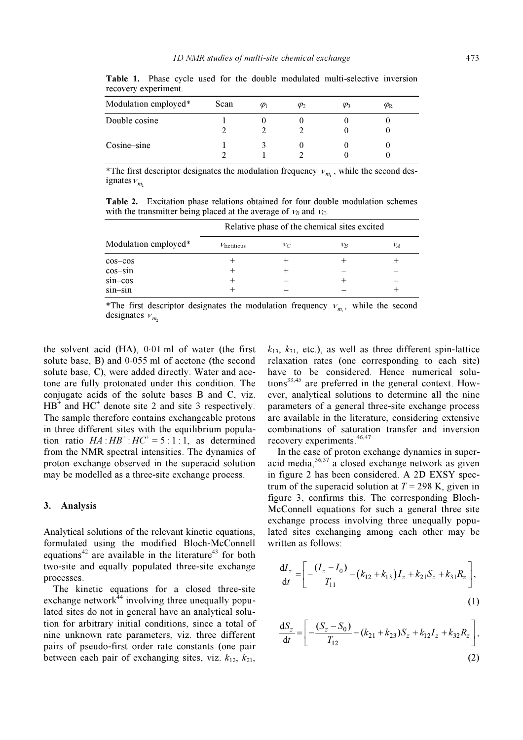| Modulation employed* | Scan | $\varphi_1$ | $\varphi_2$ | $\varphi_3$ | $\varphi_{\rm R}$ |  |
|----------------------|------|-------------|-------------|-------------|-------------------|--|
| Double cosine        |      |             |             |             |                   |  |
| Cosine–sine          |      |             |             |             |                   |  |

Table 1. Phase cycle used for the double modulated multi-selective inversion recovery experiment.

\*The first descriptor designates the modulation frequency  $v_{m}$ , while the second designates  $v_{m_2}$ 

Table 2. Excitation phase relations obtained for four double modulation schemes with the transmitter being placed at the average of  $v_B$  and  $v_C$ .

|                      | Relative phase of the chemical sites excited |       |           |         |
|----------------------|----------------------------------------------|-------|-----------|---------|
| Modulation employed* | $V_{\text{fictitious}}$                      | $V_C$ | $\nu_{B}$ | $\nu_A$ |
| $cos-cos$            | +                                            |       |           |         |
| $cos-sin$            | +                                            |       |           |         |
| $sin - cos$          | +                                            |       |           |         |
| $sin-sin$            | ÷                                            |       |           |         |

\*The first descriptor designates the modulation frequency  $v_{m_1}$ , while the second designates v. designates  $v_{m_2}$ 

the solvent acid (HA), 0⋅01 ml of water (the first solute base, B) and 0⋅055 ml of acetone (the second solute base, C), were added directly. Water and acetone are fully protonated under this condition. The conjugate acids of the solute bases B and C, viz.  $HB^+$  and HC<sup>+</sup> denote site 2 and site 3 respectively. The sample therefore contains exchangeable protons in three different sites with the equilibrium population ratio  $HA : HB^+ : HC^+ = 5 : 1 : 1$ , as determined from the NMR spectral intensities. The dynamics of proton exchange observed in the superacid solution may be modelled as a three-site exchange process.

## 3. Analysis

Analytical solutions of the relevant kinetic equations, formulated using the modified Bloch-McConnell equations<sup>42</sup> are available in the literature<sup>43</sup> for both two-site and equally populated three-site exchange processes.

 The kinetic equations for a closed three-site exchange network<sup>44</sup> involving three unequally populated sites do not in general have an analytical solution for arbitrary initial conditions, since a total of nine unknown rate parameters, viz. three different pairs of pseudo-first order rate constants (one pair between each pair of exchanging sites, viz.  $k_{12}$ ,  $k_{21}$ ,

 $k_{13}$ ,  $k_{31}$ , etc.), as well as three different spin-lattice relaxation rates (one corresponding to each site) have to be considered. Hence numerical solutions $33,45$  are preferred in the general context. However, analytical solutions to determine all the nine parameters of a general three-site exchange process are available in the literature, considering extensive combinations of saturation transfer and inversion recovery experiments.  $46,47$ 

 In the case of proton exchange dynamics in superacid media,  $36,37$  a closed exchange network as given in figure 2 has been considered. A 2D EXSY spectrum of the superacid solution at  $T = 298$  K, given in figure 3, confirms this. The corresponding Bloch-McConnell equations for such a general three site exchange process involving three unequally populated sites exchanging among each other may be written as follows:

$$
\frac{dI_z}{dt} = \left[ -\frac{(I_z - I_0)}{T_{11}} - (k_{12} + k_{13})I_z + k_{21}S_z + k_{31}R_z \right],
$$
\n(1)

$$
\frac{dS_z}{dt} = \left[ -\frac{(S_z - S_0)}{T_{12}} - (k_{21} + k_{23})S_z + k_{12}I_z + k_{32}R_z \right],
$$
\n(2)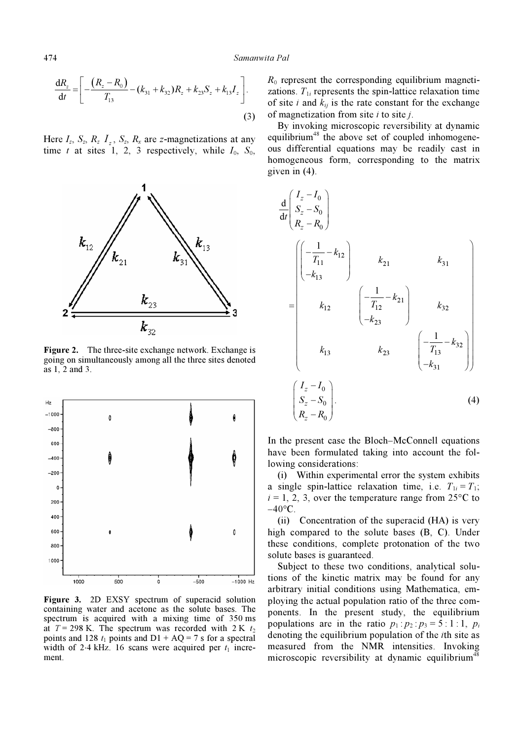$$
\frac{dR_z}{dt} = \left[ -\frac{(R_z - R_0)}{T_{13}} - (k_{31} + k_{32})R_z + k_{23}S_z + k_{13}I_z \right].
$$
\n(3)

Here  $I_z$ ,  $S_z$ ,  $R_z$   $I_z$ ,  $S_z$ ,  $R_x$  are z-magnetizations at any time t at sites 1, 2, 3 respectively, while  $I_0$ ,  $S_0$ ,



Figure 2. The three-site exchange network. Exchange is going on simultaneously among all the three sites denoted as 1, 2 and 3.



Figure 3. 2D EXSY spectrum of superacid solution containing water and acetone as the solute bases. The spectrum is acquired with a mixing time of 350 ms at  $T = 298$  K. The spectrum was recorded with 2 K  $t_2$ points and 128  $t_1$  points and D1 + AQ = 7 s for a spectral width of 2⋅4 kHz. 16 scans were acquired per  $t_1$  increment.

 $R_0$  represent the corresponding equilibrium magnetizations.  $T_{1i}$  represents the spin-lattice relaxation time of site i and  $k_{ij}$  is the rate constant for the exchange of magnetization from site  $i$  to site  $j$ .

 By invoking microscopic reversibility at dynamic equilibrium<sup>48</sup> the above set of coupled inhomogeneous differential equations may be readily cast in homogeneous form, corresponding to the matrix given in (4).

$$
\frac{d}{dt} \begin{pmatrix} I_z - I_0 \\ S_z - S_0 \\ R_z - R_0 \end{pmatrix}
$$
\n
$$
= \begin{pmatrix} \left( -\frac{1}{T_{11}} - k_{12} \right) & k_{21} & k_{31} \\ -k_{13} & \left( -\frac{1}{T_{12}} - k_{21} \right) & k_{32} \\ k_{12} & \left( -\frac{1}{T_{12}} - k_{21} \right) & k_{32} \\ -k_{23} & \left( -\frac{1}{T_{13}} - k_{32} \right) \end{pmatrix}
$$
\n
$$
k_{13} \qquad k_{23} \qquad \left( -\frac{1}{T_{13}} - k_{32} \right)
$$
\n
$$
\begin{pmatrix} I_z - I_0 \\ S_z - S_0 \\ R_z - R_0 \end{pmatrix} .
$$
\n(4)

In the present case the Bloch–McConnell equations have been formulated taking into account the following considerations:

 (i) Within experimental error the system exhibits a single spin-lattice relaxation time, i.e.  $T_{1i} = T_1$ ;  $i = 1, 2, 3$ , over the temperature range from 25 $\degree$ C to  $-40$ °C.

 (ii) Concentration of the superacid (HA) is very high compared to the solute bases (B, C). Under these conditions, complete protonation of the two solute bases is guaranteed.

 Subject to these two conditions, analytical solutions of the kinetic matrix may be found for any arbitrary initial conditions using Mathematica, employing the actual population ratio of the three components. In the present study, the equilibrium populations are in the ratio  $p_1 : p_2 : p_3 = 5 : 1 : 1, p_i$ denoting the equilibrium population of the ith site as measured from the NMR intensities. Invoking microscopic reversibility at dynamic equilibrium<sup>48</sup>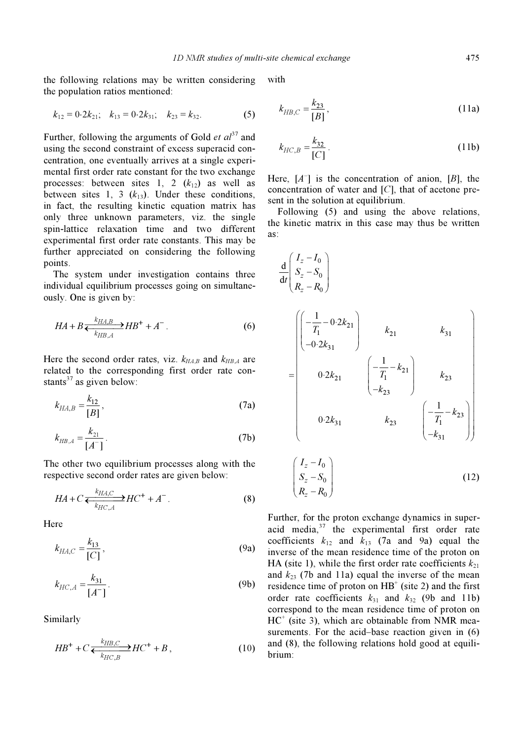the following relations may be written considering the population ratios mentioned:

$$
k_{12} = 0.2k_{21}
$$
;  $k_{13} = 0.2k_{31}$ ;  $k_{23} = k_{32}$ . (5)

Further, following the arguments of Gold *et al*<sup>37</sup> and using the second constraint of excess superacid concentration, one eventually arrives at a single experimental first order rate constant for the two exchange processes: between sites 1, 2  $(k_{12})$  as well as between sites 1, 3  $(k_{13})$ . Under these conditions, in fact, the resulting kinetic equation matrix has only three unknown parameters, viz. the single spin-lattice relaxation time and two different experimental first order rate constants. This may be further appreciated on considering the following points.

 The system under investigation contains three individual equilibrium processes going on simultaneously. One is given by:

$$
HA + B \xleftarrow[k_{H\,,A}^{k_{H\,,A}} HH^+ + A^-.
$$
 (6)

Here the second order rates, viz.  $k_{HAB}$  and  $k_{HBA}$  are related to the corresponding first order rate constants<sup>37</sup> as given below:

$$
k_{HA,B} = \frac{k_{12}}{[B]},
$$
 (7a)

$$
k_{HB,A} = \frac{k_{21}}{[A^-]}.
$$
 (7b)

The other two equilibrium processes along with the respective second order rates are given below:

$$
HA + C \xleftarrow[k_{H C, A}^{k_{H A, C}} H C^{+} + A^{-}.
$$
 (8)

**Here** 

$$
k_{HA,C} = \frac{k_{13}}{[C]},
$$
 (9a)

$$
k_{HC,A} = \frac{k_{31}}{[A^-]}.
$$
 (9b)

Similarly

$$
HB^{+} + C \frac{k_{HB,C}}{k_{HC,B}} H C^{+} + B, \qquad (10)
$$

with

$$
k_{HB,C} = \frac{k_{23}}{[B]},
$$
 (11a)

$$
k_{HC,B} = \frac{k_{32}}{[C]} \,. \tag{11b}
$$

Here,  $[A^-]$  is the concentration of anion,  $[B]$ , the concentration of water and [C], that of acetone present in the solution at equilibrium.

 Following (5) and using the above relations, the kinetic matrix in this case may thus be written as:

$$
\frac{d}{dt} \begin{pmatrix} I_z - I_0 \\ S_z - S_0 \\ R_z - R_0 \end{pmatrix}
$$
\n
$$
= \begin{pmatrix} \left( -\frac{1}{T_1} - 0.2k_{21} \right) & k_{21} & k_{31} \\ -0.2k_{31} & \left( -\frac{1}{T_1} - k_{21} \right) & k_{23} \\ 0.2k_{21} & \left( -\frac{1}{T_1} - k_{21} \right) & k_{23} \\ -k_{23} & \left( -\frac{1}{T_1} - k_{23} \right) \end{pmatrix}
$$
\n
$$
\left( I_z - I_0 \right)
$$
\n
$$
(I_z - I_0)
$$

$$
\begin{pmatrix}\nI_z - I_0 \\
S_z - S_0 \\
R_z - R_0\n\end{pmatrix}
$$
\n(12)

Further, for the proton exchange dynamics in superacid media, $37$  the experimental first order rate coefficients  $k_{12}$  and  $k_{13}$  (7a and 9a) equal the inverse of the mean residence time of the proton on HA (site 1), while the first order rate coefficients  $k_{21}$ and  $k_{23}$  (7b and 11a) equal the inverse of the mean residence time of proton on  $HB^+$  (site 2) and the first order rate coefficients  $k_{31}$  and  $k_{32}$  (9b and 11b) correspond to the mean residence time of proton on  $HC^+$  (site 3), which are obtainable from NMR measurements. For the acid–base reaction given in (6) and (8), the following relations hold good at equilibrium: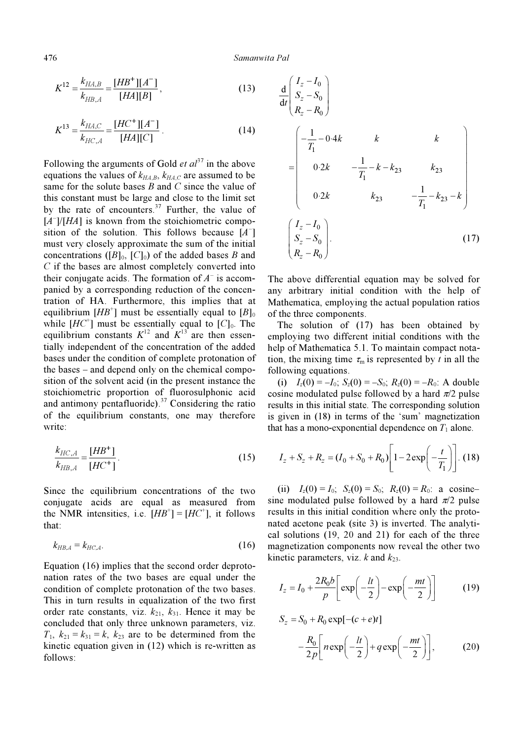$$
K^{12} = \frac{k_{HA,B}}{k_{HB,A}} = \frac{[HB^+][A^-]}{[HA][B]},
$$
\n(13)

$$
K^{13} = \frac{k_{HA,C}}{k_{HC,A}} = \frac{[HC^+][A^-]}{[HA][C]}.
$$
 (14)

Following the arguments of Gold *et*  $al^{37}$  in the above equations the values of  $k_{H_A,B}$ ,  $k_{H_A,C}$  are assumed to be same for the solute bases  $B$  and  $C$  since the value of this constant must be large and close to the limit set by the rate of encounters. $37$  Further, the value of  $[A^-]/[HA]$  is known from the stoichiometric composition of the solution. This follows because  $[A^-]$ must very closely approximate the sum of the initial concentrations ( $[B]_0$ ,  $[C]_0$ ) of the added bases B and C if the bases are almost completely converted into their conjugate acids. The formation of  $A<sup>-</sup>$  is accompanied by a corresponding reduction of the concentration of HA. Furthermore, this implies that at equilibrium  $[HB^+]$  must be essentially equal to  $[B]_0$ while  $[HC^+]$  must be essentially equal to  $[C]_0$ . The equilibrium constants  $K^{12}$  and  $K^{13}$  are then essentially independent of the concentration of the added bases under the condition of complete protonation of the bases – and depend only on the chemical composition of the solvent acid (in the present instance the stoichiometric proportion of fluorosulphonic acid and antimony pentafluoride). $37$  Considering the ratio of the equilibrium constants, one may therefore write:

$$
\frac{k_{HC,A}}{k_{HB,A}} = \frac{[HB^+]}{[HC^+]}. \tag{15}
$$

Since the equilibrium concentrations of the two conjugate acids are equal as measured from the NMR intensities, i.e.  $[HB^+] = [HC^+]$ , it follows that:

$$
k_{HB,A} = k_{HC,A}.\tag{16}
$$

Equation (16) implies that the second order deprotonation rates of the two bases are equal under the condition of complete protonation of the two bases. This in turn results in equalization of the two first order rate constants, viz.  $k_{21}$ ,  $k_{31}$ . Hence it may be concluded that only three unknown parameters, viz.  $T_1$ ,  $k_{21} = k_{31} = k$ ,  $k_{23}$  are to be determined from the kinetic equation given in (12) which is re-written as follows:

$$
\frac{d}{dt} \begin{pmatrix} I_z - I_0 \\ S_z - S_0 \\ R_z - R_0 \end{pmatrix}
$$
\n
$$
= \begin{pmatrix} -\frac{1}{T_1} - 0.4k & k & k \\ 0.2k & -\frac{1}{T_1} - k - k_{23} & k_{23} \\ 0.2k & k_{23} & -\frac{1}{T_1} - k_{23} - k \end{pmatrix}
$$
\n
$$
\begin{pmatrix} I_z - I_0 \\ S_z - S_0 \\ R_z - R_0 \end{pmatrix}.
$$
\n(17)

The above differential equation may be solved for any arbitrary initial condition with the help of Mathematica, employing the actual population ratios of the three components.

 The solution of (17) has been obtained by employing two different initial conditions with the help of Mathematica 5.1. To maintain compact notation, the mixing time  $\tau_m$  is represented by t in all the following equations.

(i)  $I_z(0) = -I_0$ ;  $S_z(0) = -S_0$ ;  $R_z(0) = -R_0$ : A double cosine modulated pulse followed by a hard  $\pi/2$  pulse results in this initial state. The corresponding solution is given in (18) in terms of the 'sum' magnetization that has a mono-exponential dependence on  $T_1$  alone.

$$
I_z + S_z + R_z = (I_0 + S_0 + R_0) \left[ 1 - 2 \exp\left(-\frac{t}{T_1}\right) \right].
$$
 (18)

(ii)  $I_z(0) = I_0$ ;  $S_z(0) = S_0$ ;  $R_z(0) = R_0$ : a cosinesine modulated pulse followed by a hard  $\pi/2$  pulse results in this initial condition where only the protonated acetone peak (site 3) is inverted. The analytical solutions (19, 20 and 21) for each of the three magnetization components now reveal the other two kinetic parameters, viz.  $k$  and  $k_{23}$ .

$$
I_z = I_0 + \frac{2R_0b}{p} \left[ \exp\left(-\frac{lt}{2}\right) - \exp\left(-\frac{mt}{2}\right) \right]
$$
 (19)

$$
S_z = S_0 + R_0 \exp[-(c+e)t]
$$
  

$$
-\frac{R_0}{2p} \left[ n \exp\left(-\frac{lt}{2}\right) + q \exp\left(-\frac{mt}{2}\right) \right],
$$
 (20)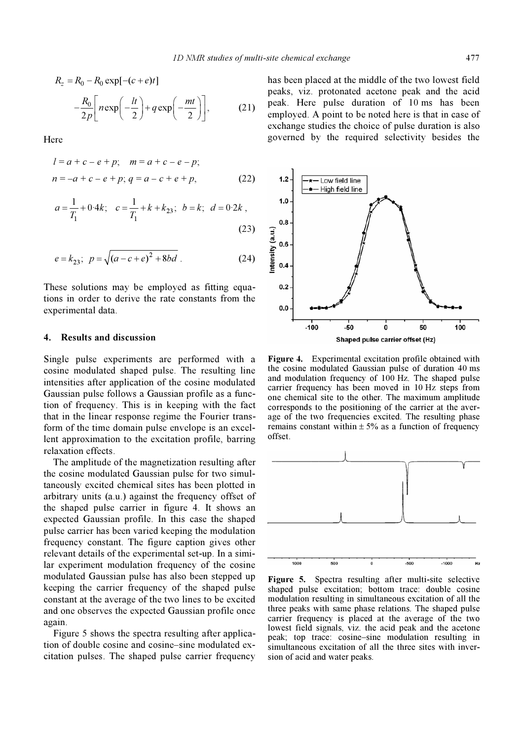$$
R_z = R_0 - R_0 \exp[-(c+e)t]
$$

$$
-\frac{R_0}{2p} \left[ n \exp\left(-\frac{lt}{2}\right) + q \exp\left(-\frac{mt}{2}\right) \right],
$$
(21)

Here

$$
l = a + c - e + p; \quad m = a + c - e - p;
$$
  

$$
n = -a + c - e + p; \quad q = a - c + e + p,
$$
 (22)

$$
a = \frac{1}{T_1} + 0.4k; \quad c = \frac{1}{T_1} + k + k_{23}; \quad b = k; \quad d = 0.2k,
$$
\n(23)

$$
e = k_{23}; \ \ p = \sqrt{(a - c + e)^2 + 8bd} \ . \tag{24}
$$

These solutions may be employed as fitting equations in order to derive the rate constants from the experimental data.

#### 4. Results and discussion

Single pulse experiments are performed with a cosine modulated shaped pulse. The resulting line intensities after application of the cosine modulated Gaussian pulse follows a Gaussian profile as a function of frequency. This is in keeping with the fact that in the linear response regime the Fourier transform of the time domain pulse envelope is an excellent approximation to the excitation profile, barring relaxation effects.

 The amplitude of the magnetization resulting after the cosine modulated Gaussian pulse for two simultaneously excited chemical sites has been plotted in arbitrary units (a.u.) against the frequency offset of the shaped pulse carrier in figure 4. It shows an expected Gaussian profile. In this case the shaped pulse carrier has been varied keeping the modulation frequency constant. The figure caption gives other relevant details of the experimental set-up. In a similar experiment modulation frequency of the cosine modulated Gaussian pulse has also been stepped up keeping the carrier frequency of the shaped pulse constant at the average of the two lines to be excited and one observes the expected Gaussian profile once again.

 Figure 5 shows the spectra resulting after application of double cosine and cosine–sine modulated excitation pulses. The shaped pulse carrier frequency has been placed at the middle of the two lowest field peaks, viz. protonated acetone peak and the acid peak. Here pulse duration of 10 ms has been employed. A point to be noted here is that in case of exchange studies the choice of pulse duration is also governed by the required selectivity besides the



Figure 4. Experimental excitation profile obtained with the cosine modulated Gaussian pulse of duration 40 ms and modulation frequency of 100 Hz. The shaped pulse carrier frequency has been moved in 10 Hz steps from one chemical site to the other. The maximum amplitude corresponds to the positioning of the carrier at the average of the two frequencies excited. The resulting phase remains constant within  $\pm$  5% as a function of frequency offset.



Figure 5. Spectra resulting after multi-site selective shaped pulse excitation; bottom trace: double cosine modulation resulting in simultaneous excitation of all the three peaks with same phase relations. The shaped pulse carrier frequency is placed at the average of the two lowest field signals, viz. the acid peak and the acetone peak; top trace: cosine–sine modulation resulting in simultaneous excitation of all the three sites with inversion of acid and water peaks.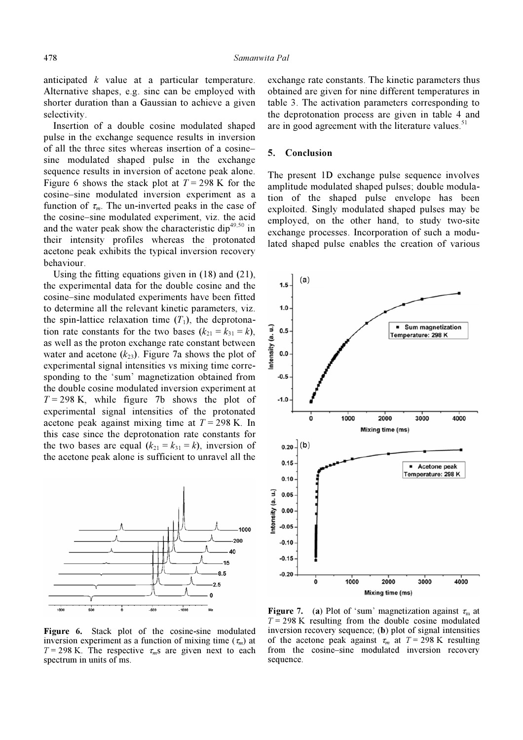anticipated k value at a particular temperature. Alternative shapes, e.g. sinc can be employed with shorter duration than a Gaussian to achieve a given selectivity.

 Insertion of a double cosine modulated shaped pulse in the exchange sequence results in inversion of all the three sites whereas insertion of a cosine– sine modulated shaped pulse in the exchange sequence results in inversion of acetone peak alone. Figure 6 shows the stack plot at  $T = 298$  K for the cosine–sine modulated inversion experiment as a function of  $\tau_m$ . The un-inverted peaks in the case of the cosine–sine modulated experiment, viz. the acid and the water peak show the characteristic dip $49,50$  in their intensity profiles whereas the protonated acetone peak exhibits the typical inversion recovery behaviour.

 Using the fitting equations given in (18) and (21), the experimental data for the double cosine and the cosine–sine modulated experiments have been fitted to determine all the relevant kinetic parameters, viz. the spin-lattice relaxation time  $(T_1)$ , the deprotonation rate constants for the two bases  $(k_{21} = k_{31} = k)$ , as well as the proton exchange rate constant between water and acetone  $(k_{23})$ . Figure 7a shows the plot of experimental signal intensities vs mixing time corresponding to the 'sum' magnetization obtained from the double cosine modulated inversion experiment at  $T = 298$  K, while figure 7b shows the plot of experimental signal intensities of the protonated acetone peak against mixing time at  $T = 298$  K. In this case since the deprotonation rate constants for the two bases are equal  $(k_{21} = k_{31} = k)$ , inversion of the acetone peak alone is sufficient to unravel all the



Figure 6. Stack plot of the cosine-sine modulated inversion experiment as a function of mixing time  $(\tau_m)$  at  $T = 298$  K. The respective  $\tau_m$ s are given next to each spectrum in units of ms.

exchange rate constants. The kinetic parameters thus obtained are given for nine different temperatures in table 3. The activation parameters corresponding to the deprotonation process are given in table 4 and are in good agreement with the literature values. $51$ 

#### 5. Conclusion

The present 1D exchange pulse sequence involves amplitude modulated shaped pulses; double modulation of the shaped pulse envelope has been exploited. Singly modulated shaped pulses may be employed, on the other hand, to study two-site exchange processes. Incorporation of such a modulated shaped pulse enables the creation of various



**Figure 7.** (a) Plot of 'sum' magnetization against  $\tau_m$  at  $T = 298$  K resulting from the double cosine modulated inversion recovery sequence; (b) plot of signal intensities of the acetone peak against  $\tau_m$  at  $T = 298$  K resulting from the cosine–sine modulated inversion recovery sequence.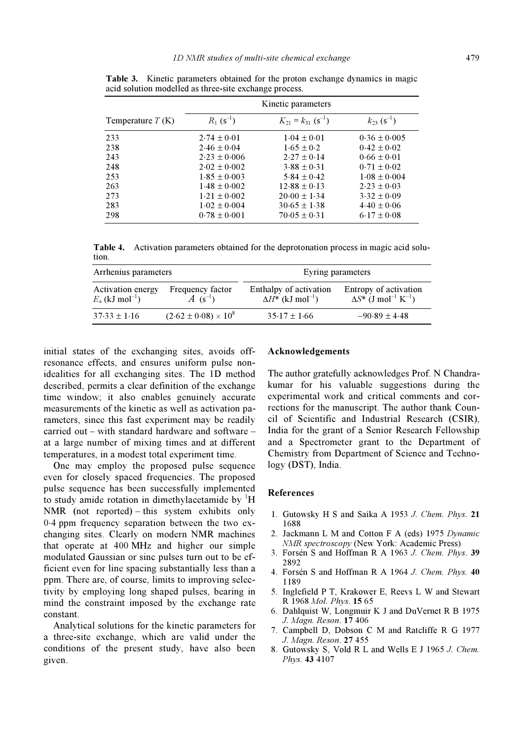|                    | Kinetic parameters       |                                      |                             |  |
|--------------------|--------------------------|--------------------------------------|-----------------------------|--|
| Temperature $T(K)$ | $R_1$ (s <sup>-1</sup> ) | $K_{21} = k_{31}$ (s <sup>-1</sup> ) | $k_{23}$ (s <sup>-1</sup> ) |  |
| 233                | $2.74 \pm 0.01$          | $1.04 \pm 0.01$                      | $0.36 \pm 0.005$            |  |
| 238                | $2.46 \pm 0.04$          | $1.65 \pm 0.2$                       | $0.42 + 0.02$               |  |
| 243                | $2.23 + 0.006$           | $2.27 + 0.14$                        | $0.66 \pm 0.01$             |  |
| 248                | $2.02 + 0.002$           | $3.88 + 0.31$                        | $0.71 + 0.02$               |  |
| 253                | $1.85 \pm 0.003$         | $5.84 + 0.42$                        | $1.08 \pm 0.004$            |  |
| 263                | $1.48 \pm 0.002$         | $12.88 \pm 0.13$                     | $2.23 \pm 0.03$             |  |
| 273                | $1.21 \pm 0.002$         | $20.00 \pm 1.34$                     | $3.32 \pm 0.09$             |  |
| 283                | $1.02 \pm 0.004$         | $30.65 \pm 1.38$                     | $4.40 \pm 0.06$             |  |
| 298                | $0.78 \pm 0.001$         | $70.05 \pm 0.31$                     | $6.17 \pm 0.08$             |  |

Table 3. Kinetic parameters obtained for the proton exchange dynamics in magic acid solution modelled as three-site exchange process.

Table 4. Activation parameters obtained for the deprotonation process in magic acid solution.

| Arrhenius parameters                               |                                            | Eyring parameters                                              |                                                                              |  |
|----------------------------------------------------|--------------------------------------------|----------------------------------------------------------------|------------------------------------------------------------------------------|--|
| Activation energy<br>$E_a$ (kJ mol <sup>-1</sup> ) | Frequency factor<br>$A$ (s <sup>-1</sup> ) | Enthalpy of activation<br>$\Delta H^*$ (kJ mol <sup>-1</sup> ) | Entropy of activation<br>$\Delta S^*$ (J mol <sup>-1</sup> K <sup>-1</sup> ) |  |
| $37.33 \pm 1.16$                                   | $(2.62 \pm 0.08) \times 10^8$              | $35.17 \pm 1.66$                                               | $-90.89 \pm 4.48$                                                            |  |

initial states of the exchanging sites, avoids offresonance effects, and ensures uniform pulse nonidealities for all exchanging sites. The 1D method described, permits a clear definition of the exchange time window; it also enables genuinely accurate measurements of the kinetic as well as activation parameters, since this fast experiment may be readily carried out – with standard hardware and software – at a large number of mixing times and at different temperatures, in a modest total experiment time.

 One may employ the proposed pulse sequence even for closely spaced frequencies. The proposed pulse sequence has been successfully implemented to study amide rotation in dimethylacetamide by  $H$ NMR (not reported) – this system exhibits only 0⋅4 ppm frequency separation between the two exchanging sites. Clearly on modern NMR machines that operate at 400 MHz and higher our simple modulated Gaussian or sinc pulses turn out to be efficient even for line spacing substantially less than a ppm. There are, of course, limits to improving selectivity by employing long shaped pulses, bearing in mind the constraint imposed by the exchange rate constant.

 Analytical solutions for the kinetic parameters for a three-site exchange, which are valid under the conditions of the present study, have also been given.

## Acknowledgements

The author gratefully acknowledges Prof. N Chandrakumar for his valuable suggestions during the experimental work and critical comments and corrections for the manuscript. The author thank Council of Scientific and Industrial Research (CSIR), India for the grant of a Senior Research Fellowship and a Spectrometer grant to the Department of Chemistry from Department of Science and Technology (DST), India.

#### References

- 1. Gutowsky H S and Saika A 1953 J. Chem. Phys. 21 1688
- 2. Jackmann L M and Cotton F A (eds) 1975 Dynamic NMR spectroscopy (New York: Academic Press)
- 3. Forsén S and Hoffman R A 1963 J. Chem. Phys. 39 2892
- 4. Forsén S and Hoffman R A 1964 J. Chem. Phys. 40 1189
- 5. Inglefield P T, Krakower E, Reevs L W and Stewart R 1968 Mol. Phys. 15 65
- 6. Dahlquist W, Longmuir K J and DuVernet R B 1975 J. Magn. Reson. 17 406
- 7. Campbell D, Dobson C M and Ratcliffe R G 1977 J. Magn. Reson. 27 455
- 8. Gutowsky S, Vold R L and Wells E J 1965 J. Chem. Phys. 43 4107